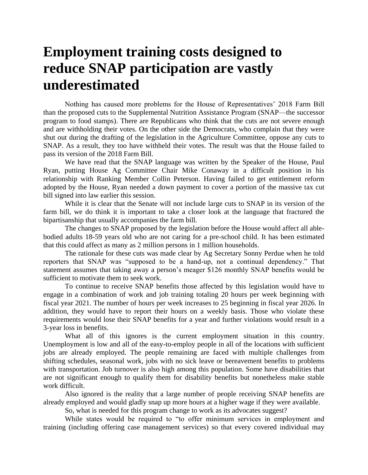## **Employment training costs designed to reduce SNAP participation are vastly underestimated**

Nothing has caused more problems for the House of Representatives' 2018 Farm Bill than the proposed cuts to the Supplemental Nutrition Assistance Program (SNAP—the successor program to food stamps). There are Republicans who think that the cuts are not severe enough and are withholding their votes. On the other side the Democrats, who complain that they were shut out during the drafting of the legislation in the Agriculture Committee, oppose any cuts to SNAP. As a result, they too have withheld their votes. The result was that the House failed to pass its version of the 2018 Farm Bill.

We have read that the SNAP language was written by the Speaker of the House, Paul Ryan, putting House Ag Committee Chair Mike Conaway in a difficult position in his relationship with Ranking Member Collin Peterson. Having failed to get entitlement reform adopted by the House, Ryan needed a down payment to cover a portion of the massive tax cut bill signed into law earlier this session.

While it is clear that the Senate will not include large cuts to SNAP in its version of the farm bill, we do think it is important to take a closer look at the language that fractured the bipartisanship that usually accompanies the farm bill.

The changes to SNAP proposed by the legislation before the House would affect all ablebodied adults 18-59 years old who are not caring for a pre-school child. It has been estimated that this could affect as many as 2 million persons in 1 million households.

The rationale for these cuts was made clear by Ag Secretary Sonny Perdue when he told reporters that SNAP was "supposed to be a hand-up, not a continual dependency." That statement assumes that taking away a person's meager \$126 monthly SNAP benefits would be sufficient to motivate them to seek work.

To continue to receive SNAP benefits those affected by this legislation would have to engage in a combination of work and job training totaling 20 hours per week beginning with fiscal year 2021. The number of hours per week increases to 25 beginning in fiscal year 2026. In addition, they would have to report their hours on a weekly basis. Those who violate these requirements would lose their SNAP benefits for a year and further violations would result in a 3-year loss in benefits.

What all of this ignores is the current employment situation in this country. Unemployment is low and all of the easy-to-employ people in all of the locations with sufficient jobs are already employed. The people remaining are faced with multiple challenges from shifting schedules, seasonal work, jobs with no sick leave or bereavement benefits to problems with transportation. Job turnover is also high among this population. Some have disabilities that are not significant enough to qualify them for disability benefits but nonetheless make stable work difficult.

Also ignored is the reality that a large number of people receiving SNAP benefits are already employed and would gladly snap up more hours at a higher wage if they were available.

So, what is needed for this program change to work as its advocates suggest?

While states would be required to "to offer minimum services in employment and training (including offering case management services) so that every covered individual may